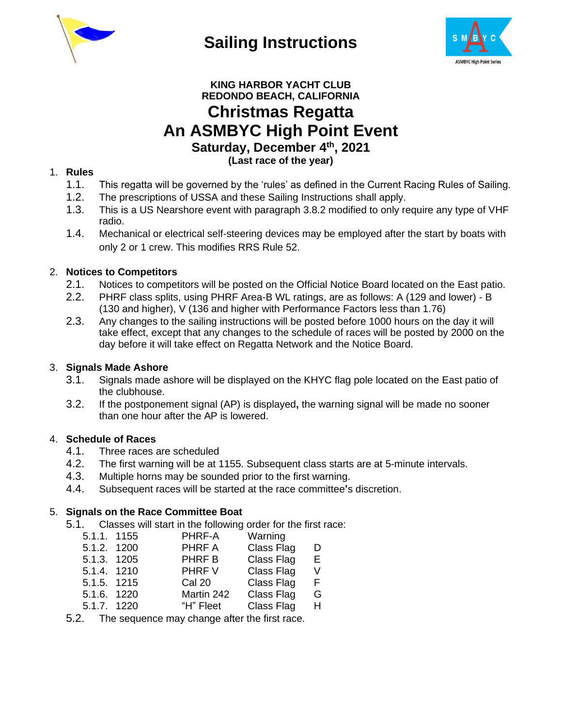

**Sailing Instructions**



# **KING HARBOR YACHT CLUB REDONDO BEACH, CALIFORNIA Christmas Regatta An ASMBYC High Point Event Saturday, December 4 th, 2021 (Last race of the year)**

# 1. **Rules**

- 1.1. This regatta will be governed by the 'rules' as defined in the Current Racing Rules of Sailing.
- 1.2. The prescriptions of USSA and these Sailing Instructions shall apply.
- 1.3. This is a US Nearshore event with paragraph 3.8.2 modified to only require any type of VHF radio.
- 1.4. Mechanical or electrical self-steering devices may be employed after the start by boats with only 2 or 1 crew. This modifies RRS Rule 52.

# 2. **Notices to Competitors**

- 2.1. Notices to competitors will be posted on the Official Notice Board located on the East patio.
- 2.2. PHRF class splits, using PHRF Area-B WL ratings, are as follows: A (129 and lower) B (130 and higher), V (136 and higher with Performance Factors less than 1.76)
- 2.3. Any changes to the sailing instructions will be posted before 1000 hours on the day it will take effect, except that any changes to the schedule of races will be posted by 2000 on the day before it will take effect on Regatta Network and the Notice Board.

# 3. **Signals Made Ashore**

- 3.1. Signals made ashore will be displayed on the KHYC flag pole located on the East patio of the clubhouse.
- 3.2. If the postponement signal (AP) is displayed**,** the warning signal will be made no sooner than one hour after the AP is lowered.

# 4. **Schedule of Races**

- 4.1. Three races are scheduled
- 4.2. The first warning will be at 1155. Subsequent class starts are at 5-minute intervals.
- 4.3. Multiple horns may be sounded prior to the first warning.
- 4.4. Subsequent races will be started at the race committee**'**s discretion.

#### 5. **Signals on the Race Committee Boat**

- 5.1. Classes will start in the following order for the first race:
	- 5.1.1. 1155 PHRF-A Warning 5.1.2. 1200 PHRF A Class Flag D 5.1.3. 1205 PHRF B Class Flag E 5.1.4. 1210 PHRF V Class Flag V 5.1.5. 1215 Cal 20 Class Flag F 5.1.6. 1220 Martin 242 Class Flag G 5.1.7. 1220 "H" Fleet Class Flag
	-

5.2. The sequence may change after the first race.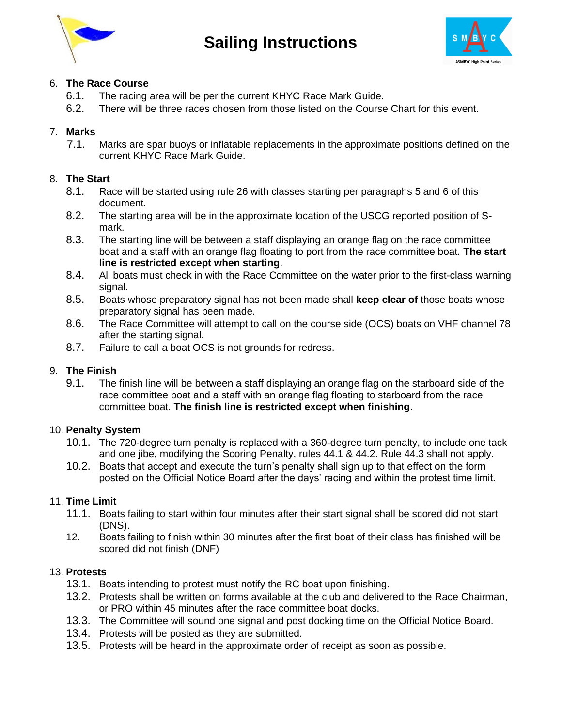

**Sailing Instructions**



# 6. **The Race Course**

- 6.1. The racing area will be per the current KHYC Race Mark Guide.
- 6.2. There will be three races chosen from those listed on the Course Chart for this event.

# 7. **Marks**

7.1. Marks are spar buoys or inflatable replacements in the approximate positions defined on the current KHYC Race Mark Guide.

#### 8. **The Start**

- 8.1. Race will be started using rule 26 with classes starting per paragraphs 5 and 6 of this document.
- 8.2. The starting area will be in the approximate location of the USCG reported position of Smark.
- 8.3. The starting line will be between a staff displaying an orange flag on the race committee boat and a staff with an orange flag floating to port from the race committee boat. **The start line is restricted except when starting**.
- 8.4. All boats must check in with the Race Committee on the water prior to the first-class warning signal.
- 8.5. Boats whose preparatory signal has not been made shall **keep clear of** those boats whose preparatory signal has been made.
- 8.6. The Race Committee will attempt to call on the course side (OCS) boats on VHF channel 78 after the starting signal.
- 8.7. Failure to call a boat OCS is not grounds for redress.

#### 9. **The Finish**

9.1. The finish line will be between a staff displaying an orange flag on the starboard side of the race committee boat and a staff with an orange flag floating to starboard from the race committee boat. **The finish line is restricted except when finishing**.

#### 10. **Penalty System**

- 10.1. The 720-degree turn penalty is replaced with a 360-degree turn penalty, to include one tack and one jibe, modifying the Scoring Penalty, rules 44.1 & 44.2. Rule 44.3 shall not apply.
- 10.2. Boats that accept and execute the turn's penalty shall sign up to that effect on the form posted on the Official Notice Board after the days' racing and within the protest time limit.

#### 11. **Time Limit**

- 11.1. Boats failing to start within four minutes after their start signal shall be scored did not start (DNS).
- 12. Boats failing to finish within 30 minutes after the first boat of their class has finished will be scored did not finish (DNF)

#### 13. **Protests**

- 13.1. Boats intending to protest must notify the RC boat upon finishing.
- 13.2. Protests shall be written on forms available at the club and delivered to the Race Chairman, or PRO within 45 minutes after the race committee boat docks.
- 13.3. The Committee will sound one signal and post docking time on the Official Notice Board.
- 13.4. Protests will be posted as they are submitted.
- 13.5. Protests will be heard in the approximate order of receipt as soon as possible.